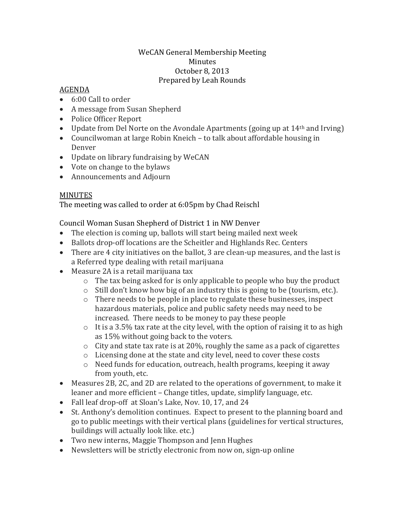## WeCAN General Membership Meeting Minutes October 8, 2013 Prepared by Leah Rounds

## AGENDA

- 6:00 Call to order
- A message from Susan Shepherd
- Police Officer Report
- Update from Del Norte on the Avondale Apartments (going up at  $14<sup>th</sup>$  and Irving)
- Councilwoman at large Robin Kneich to talk about affordable housing in Denver
- Update on library fundraising by WeCAN
- Vote on change to the bylaws
- Announcements and Adjourn

## **MINUTES**

The meeting was called to order at 6:05pm by Chad Reischl

Council Woman Susan Shepherd of District 1 in NW Denver

- The election is coming up, ballots will start being mailed next week
- Ballots drop-off locations are the Scheitler and Highlands Rec. Centers
- There are 4 city initiatives on the ballot, 3 are clean-up measures, and the last is a Referred type dealing with retail marijuana
- Measure 2A is a retail marijuana tax
	- o The tax being asked for is only applicable to people who buy the product
	- o Still don't know how big of an industry this is going to be (tourism, etc.).
	- $\circ$  There needs to be people in place to regulate these businesses, inspect hazardous materials, police and public safety needs may need to be increased. There needs to be money to pay these people
	- $\circ$  It is a 3.5% tax rate at the city level, with the option of raising it to as high as 15% without going back to the voters.
	- $\circ$  City and state tax rate is at 20%, roughly the same as a pack of cigarettes
	- o Licensing done at the state and city level, need to cover these costs
	- o Need funds for education, outreach, health programs, keeping it away from youth, etc.
- Measures 2B, 2C, and 2D are related to the operations of government, to make it leaner and more efficient – Change titles, update, simplify language, etc.
- Fall leaf drop-off at Sloan's Lake, Nov. 10, 17, and 24
- St. Anthony's demolition continues. Expect to present to the planning board and go to public meetings with their vertical plans (guidelines for vertical structures, buildings will actually look like. etc.)
- Two new interns, Maggie Thompson and Jenn Hughes
- Newsletters will be strictly electronic from now on, sign-up online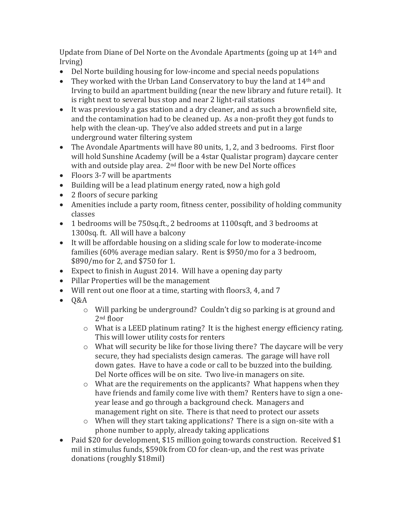Update from Diane of Del Norte on the Avondale Apartments (going up at 14th and Irving)

- Del Norte building housing for low-income and special needs populations
- They worked with the Urban Land Conservatory to buy the land at 14<sup>th</sup> and Irving to build an apartment building (near the new library and future retail). It is right next to several bus stop and near 2 light-rail stations
- It was previously a gas station and a dry cleaner, and as such a brownfield site, and the contamination had to be cleaned up. As a non-profit they got funds to help with the clean-up. They've also added streets and put in a large underground water filtering system
- The Avondale Apartments will have 80 units, 1, 2, and 3 bedrooms. First floor will hold Sunshine Academy (will be a 4star Qualistar program) daycare center with and outside play area. 2<sup>nd</sup> floor with be new Del Norte offices
- Floors 3-7 will be apartments
- Building will be a lead platinum energy rated, now a high gold
- 2 floors of secure parking
- Amenities include a party room, fitness center, possibility of holding community classes
- 1 bedrooms will be 750sq.ft., 2 bedrooms at 1100sqft, and 3 bedrooms at 1300sq. ft. All will have a balcony
- It will be affordable housing on a sliding scale for low to moderate-income families (60% average median salary. Rent is \$950/mo for a 3 bedroom, \$890/mo for 2, and \$750 for 1.
- Expect to finish in August 2014. Will have a opening day party
- Pillar Properties will be the management
- Will rent out one floor at a time, starting with floors3, 4, and 7
- $-0&A$ 
	- o Will parking be underground? Couldn't dig so parking is at ground and 2<sup>nd</sup> floor
	- o What is a LEED platinum rating? It is the highest energy efficiency rating. This will lower utility costs for renters
	- o What will security be like for those living there? The daycare will be very secure, they had specialists design cameras. The garage will have roll down gates. Have to have a code or call to be buzzed into the building. Del Norte offices will be on site. Two live-in managers on site.
	- o What are the requirements on the applicants? What happens when they have friends and family come live with them? Renters have to sign a oneyear lease and go through a background check. Managers and management right on site. There is that need to protect our assets
	- o When will they start taking applications? There is a sign on-site with a phone number to apply, already taking applications
- Paid \$20 for development, \$15 million going towards construction. Received \$1 mil in stimulus funds, \$590k from CO for clean-up, and the rest was private donations (roughly \$18mil)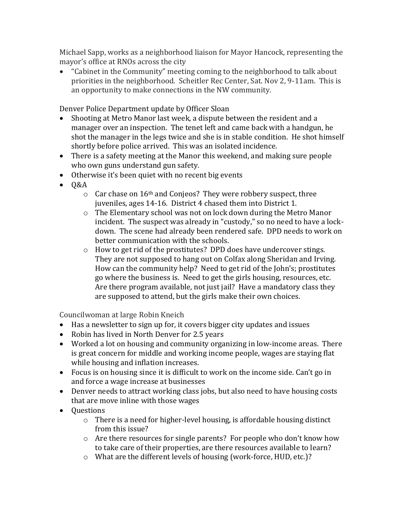Michael Sapp, works as a neighborhood liaison for Mayor Hancock, representing the mayor's office at RNOs across the city

 "Cabinet in the Community" meeting coming to the neighborhood to talk about priorities in the neighborhood. Scheitler Rec Center, Sat. Nov 2, 9-11am. This is an opportunity to make connections in the NW community.

Denver Police Department update by Officer Sloan

- Shooting at Metro Manor last week, a dispute between the resident and a manager over an inspection. The tenet left and came back with a handgun, he shot the manager in the legs twice and she is in stable condition. He shot himself shortly before police arrived. This was an isolated incidence.
- There is a safety meeting at the Manor this weekend, and making sure people who own guns understand gun safety.
- Otherwise it's been quiet with no recent big events
- $\bullet$  Q&A
	- $\circ$  Car chase on 16<sup>th</sup> and Conjeos? They were robbery suspect, three juveniles, ages 14-16. District 4 chased them into District 1.
	- $\circ$  The Elementary school was not on lock down during the Metro Manor incident. The suspect was already in "custody," so no need to have a lockdown. The scene had already been rendered safe. DPD needs to work on better communication with the schools.
	- o How to get rid of the prostitutes? DPD does have undercover stings. They are not supposed to hang out on Colfax along Sheridan and Irving. How can the community help? Need to get rid of the John's; prostitutes go where the business is. Need to get the girls housing, resources, etc. Are there program available, not just jail? Have a mandatory class they are supposed to attend, but the girls make their own choices.

Councilwoman at large Robin Kneich

- Has a newsletter to sign up for, it covers bigger city updates and issues
- Robin has lived in North Denver for 2.5 years
- Worked a lot on housing and community organizing in low-income areas. There is great concern for middle and working income people, wages are staying flat while housing and inflation increases.
- Focus is on housing since it is difficult to work on the income side. Can't go in and force a wage increase at businesses
- Denver needs to attract working class jobs, but also need to have housing costs that are move inline with those wages
- Questions
	- $\circ$  There is a need for higher-level housing, is affordable housing distinct from this issue?
	- o Are there resources for single parents? For people who don't know how to take care of their properties, are there resources available to learn?
	- o What are the different levels of housing (work-force, HUD, etc.)?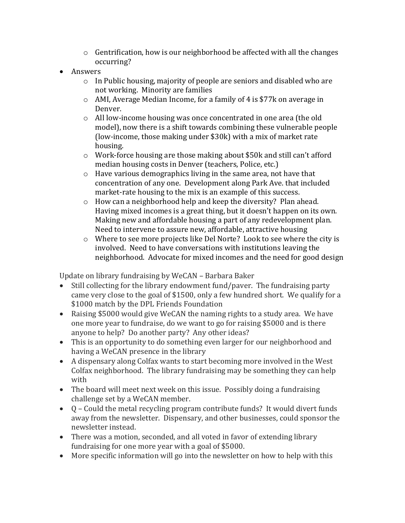- $\circ$  Gentrification, how is our neighborhood be affected with all the changes occurring?
- Answers
	- $\circ$  In Public housing, majority of people are seniors and disabled who are not working. Minority are families
	- o AMI, Average Median Income, for a family of 4 is \$77k on average in Denver.
	- o All low-income housing was once concentrated in one area (the old model), now there is a shift towards combining these vulnerable people (low-income, those making under \$30k) with a mix of market rate housing.
	- $\circ$  Work-force housing are those making about \$50k and still can't afford median housing costs in Denver (teachers, Police, etc.)
	- o Have various demographics living in the same area, not have that concentration of any one. Development along Park Ave. that included market-rate housing to the mix is an example of this success.
	- o How can a neighborhood help and keep the diversity? Plan ahead. Having mixed incomes is a great thing, but it doesn't happen on its own. Making new and affordable housing a part of any redevelopment plan. Need to intervene to assure new, affordable, attractive housing
	- o Where to see more projects like Del Norte? Look to see where the city is involved. Need to have conversations with institutions leaving the neighborhood. Advocate for mixed incomes and the need for good design

Update on library fundraising by WeCAN – Barbara Baker

- Still collecting for the library endowment fund/paver. The fundraising party came very close to the goal of \$1500, only a few hundred short. We qualify for a \$1000 match by the DPL Friends Foundation
- Raising \$5000 would give WeCAN the naming rights to a study area. We have one more year to fundraise, do we want to go for raising \$5000 and is there anyone to help? Do another party? Any other ideas?
- This is an opportunity to do something even larger for our neighborhood and having a WeCAN presence in the library
- A dispensary along Colfax wants to start becoming more involved in the West Colfax neighborhood. The library fundraising may be something they can help with
- The board will meet next week on this issue. Possibly doing a fundraising challenge set by a WeCAN member.
- Q Could the metal recycling program contribute funds? It would divert funds away from the newsletter. Dispensary, and other businesses, could sponsor the newsletter instead.
- There was a motion, seconded, and all voted in favor of extending library fundraising for one more year with a goal of \$5000.
- More specific information will go into the newsletter on how to help with this